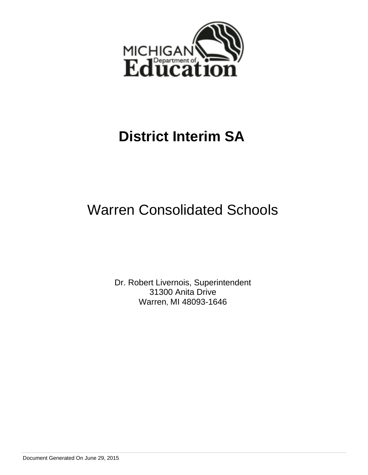

# Warren Consolidated Schools

Dr. Robert Livernois, Superintendent 31300 Anita Drive Warren, MI 48093-1646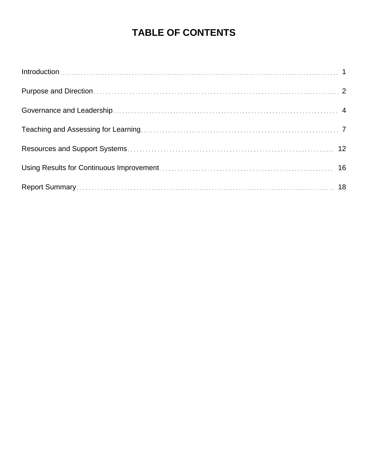# **TABLE OF CONTENTS**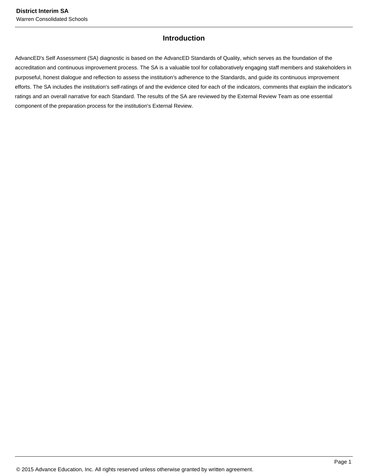### **Introduction**

AdvancED's Self Assessment (SA) diagnostic is based on the AdvancED Standards of Quality, which serves as the foundation of the accreditation and continuous improvement process. The SA is a valuable tool for collaboratively engaging staff members and stakeholders in purposeful, honest dialogue and reflection to assess the institution's adherence to the Standards, and guide its continuous improvement efforts. The SA includes the institution's self-ratings of and the evidence cited for each of the indicators, comments that explain the indicator's ratings and an overall narrative for each Standard. The results of the SA are reviewed by the External Review Team as one essential component of the preparation process for the institution's External Review.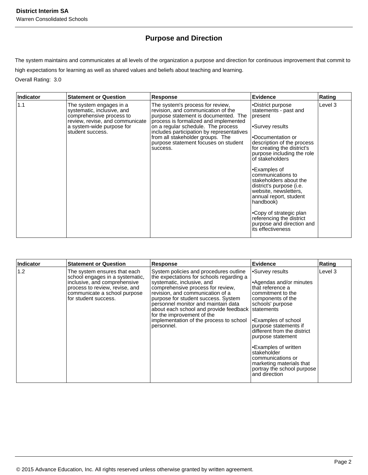# **Purpose and Direction**

The system maintains and communicates at all levels of the organization a purpose and direction for continuous improvement that commit to high expectations for learning as well as shared values and beliefs about teaching and learning.

Overall Rating: 3.0

| <b>Indicator</b> | <b>Statement or Question</b>                                                                                                                                          | <b>Response</b>                                                                                                                                                                                                                                                                                                                    | <b>Evidence</b>                                                                                                                                                                                                                                                                                                                                                                                                                                                                          | Rating  |
|------------------|-----------------------------------------------------------------------------------------------------------------------------------------------------------------------|------------------------------------------------------------------------------------------------------------------------------------------------------------------------------------------------------------------------------------------------------------------------------------------------------------------------------------|------------------------------------------------------------------------------------------------------------------------------------------------------------------------------------------------------------------------------------------------------------------------------------------------------------------------------------------------------------------------------------------------------------------------------------------------------------------------------------------|---------|
| 1.1              | The system engages in a<br>systematic, inclusive, and<br>comprehensive process to<br>review, revise, and communicate<br>a system-wide purpose for<br>student success. | The system's process for review,<br>revision, and communication of the<br>purpose statement is documented. The<br>process is formalized and implemented<br>on a regular schedule. The process<br>includes participation by representatives<br>from all stakeholder groups. The<br>purpose statement focuses on student<br>success. | •District purpose<br>statements - past and<br>present<br>•Survey results<br>l.Documentation or<br>description of the process<br>for creating the district's<br>purpose including the role<br>of stakeholders<br>•Examples of<br>communications to<br>stakeholders about the<br>district's purpose ( <i>i.e.</i><br>website, newsletters,<br>annual report, student<br>handbook)<br>•Copy of strategic plan<br>referencing the district<br>purpose and direction and<br>its effectiveness | Level 3 |

| Indicator | <b>Statement or Question</b>                                                                                                                                                              | Response                                                                                                                                                                                                                                                                                                                                                                                                            | <b>Evidence</b>                                                                                                                                                                                                                                                                                                                                                      | Rating  |
|-----------|-------------------------------------------------------------------------------------------------------------------------------------------------------------------------------------------|---------------------------------------------------------------------------------------------------------------------------------------------------------------------------------------------------------------------------------------------------------------------------------------------------------------------------------------------------------------------------------------------------------------------|----------------------------------------------------------------------------------------------------------------------------------------------------------------------------------------------------------------------------------------------------------------------------------------------------------------------------------------------------------------------|---------|
| 1.2       | The system ensures that each<br>school engages in a systematic,<br>inclusive, and comprehensive<br>process to review, revise, and<br>communicate a school purpose<br>for student success. | System policies and procedures outline<br>the expectations for schools regarding a<br>systematic, inclusive, and<br>comprehensive process for review.<br>revision, and communication of a<br>purpose for student success. System<br>bersonnel monitor and maintain data<br>about each school and provide feedback statements<br>for the improvement of the<br>implementation of the process to school<br>personnel. | Survey results<br>Agendas and/or minutes<br>that reference a<br>commitment to the<br>components of the<br>schools' purpose<br>Examples of school<br>purpose statements if<br>different from the district<br>purpose statement<br>•Examples of written<br>stakeholder<br>communications or<br>marketing materials that<br>portray the school purpose<br>and direction | Level 3 |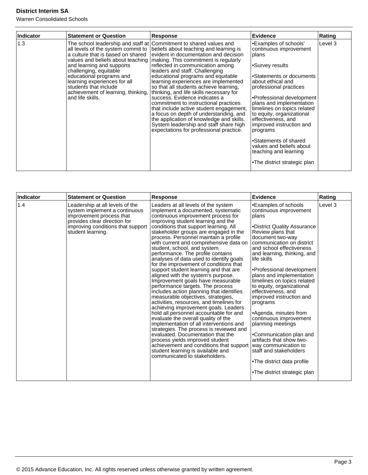| <b>Indicator</b> | <b>Statement or Question</b>                                                                                                                                                                                                                                                                                         | <b>Response</b>                                                                                                                                                                                                                                                                                                                                                                                                                                                                                                                                                                                                                                                                                                                        | <b>Evidence</b>                                                                                                                                                                                                                                                                                                                                                                                                                                         | Rating  |
|------------------|----------------------------------------------------------------------------------------------------------------------------------------------------------------------------------------------------------------------------------------------------------------------------------------------------------------------|----------------------------------------------------------------------------------------------------------------------------------------------------------------------------------------------------------------------------------------------------------------------------------------------------------------------------------------------------------------------------------------------------------------------------------------------------------------------------------------------------------------------------------------------------------------------------------------------------------------------------------------------------------------------------------------------------------------------------------------|---------------------------------------------------------------------------------------------------------------------------------------------------------------------------------------------------------------------------------------------------------------------------------------------------------------------------------------------------------------------------------------------------------------------------------------------------------|---------|
| 1.3              | all levels of the system commit to<br>a culture that is based on shared<br>values and beliefs about teaching  <br>and learning and supports<br>challenging, equitable<br>educational programs and<br>learning experiences for all<br>students that include<br>achievement of learning, thinking,<br>and life skills. | The school leadership and staff at Commitment to shared values and<br>beliefs about teaching and learning is<br>evident in documentation and decision<br>making. This commitment is regularly<br>reflected in communication among<br>leaders and staff. Challenging<br>educational programs and equitable<br>learning experiences are implemented<br>so that all students achieve learning,<br>thinking, and life skills necessary for<br>success. Evidence indicates a<br>commitment to instructional practices<br>that include active student engagement,<br>a focus on depth of understanding, and<br>the application of knowledge and skills.<br>System leadership and staff share high<br>expectations for professional practice. | •Examples of schools'<br>continuous improvement<br>plans<br>•Survey results<br>•Statements or documents<br>about ethical and<br>professional practices<br>•Professional development<br>plans and implementation<br>timelines on topics related<br>to equity, organizational<br>effectiveness, and<br>improved instruction and<br>programs<br>•Statements of shared<br>values and beliefs about<br>teaching and learning<br>•The district strategic plan | Level 3 |

| Indicator | <b>Statement or Question</b>                                                                                                                                                           | <b>Response</b>                                                                                                                                                                                                                                                                                                                                                                                                                                                                                                                                                                                                                                                                                                                                                                                                                                                                                                                                                                                                                                                                                                                                                                   | Evidence                                                                                                                                                                                                                                                                                                                                                                                                                                                                                                                                                                                                                                                                 | Rating  |
|-----------|----------------------------------------------------------------------------------------------------------------------------------------------------------------------------------------|-----------------------------------------------------------------------------------------------------------------------------------------------------------------------------------------------------------------------------------------------------------------------------------------------------------------------------------------------------------------------------------------------------------------------------------------------------------------------------------------------------------------------------------------------------------------------------------------------------------------------------------------------------------------------------------------------------------------------------------------------------------------------------------------------------------------------------------------------------------------------------------------------------------------------------------------------------------------------------------------------------------------------------------------------------------------------------------------------------------------------------------------------------------------------------------|--------------------------------------------------------------------------------------------------------------------------------------------------------------------------------------------------------------------------------------------------------------------------------------------------------------------------------------------------------------------------------------------------------------------------------------------------------------------------------------------------------------------------------------------------------------------------------------------------------------------------------------------------------------------------|---------|
| 1.4       | Leadership at all levels of the<br>system implement a continuous<br>improvement process that<br>provides clear direction for<br>improving conditions that support<br>student learning. | Leaders at all levels of the system<br>implement a documented, systematic<br>continuous improvement process for<br>improving student learning and the<br>conditions that support learning. All<br>stakeholder groups are engaged in the<br>process. Personnel maintain a profile<br>with current and comprehensive data on<br>student, school, and system<br>performance. The profile contains<br>analyses of data used to identify goals<br>for the improvement of conditions that<br>support student learning and that are<br>aligned with the system's purpose.<br>Improvement goals have measurable<br>performance targets. The process<br>includes action planning that identifies<br>measurable objectives, strategies,<br>activities, resources, and timelines for<br>achieving improvement goals. Leaders<br>hold all personnel accountable for and<br>evaluate the overall quality of the<br>implementation of all interventions and<br>strategies. The process is reviewed and<br>evaluated. Documentation that the<br>process yields improved student<br>achievement and conditions that support<br>student learning is available and<br>communicated to stakeholders. | •Examples of schools<br>continuous improvement<br>plans<br>•District Quality Assurance<br>Review plans that<br>document two-way<br>communication on district<br>and school effectiveness<br>and learning, thinking, and<br>life skills<br>•Professional development<br>plans and implementation<br>timelines on topics related<br>to equity, organizational<br>effectiveness, and<br>improved instruction and<br>programs<br>•Agenda, minutes from<br>continuous improvement<br>planning meetings<br>•Communication plan and<br>artifacts that show two-<br>way communication to<br>staff and stakeholders<br>•The district data profile<br>.The district strategic plan | Level 3 |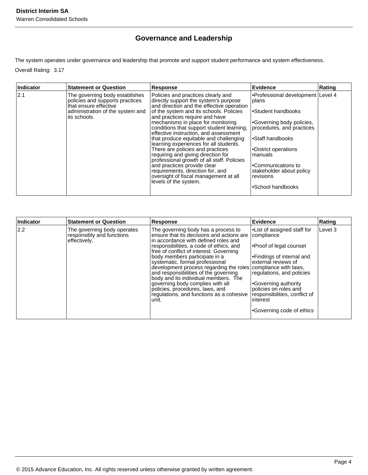# **Governance and Leadership**

The system operates under governance and leadership that promote and support student performance and system effectiveness.

Overall Rating: 3.17

| Indicator | <b>Statement or Question</b>                                                                                                    | <b>Response</b>                                                                                                                                                                                      | Evidence                                                                   | Rating |
|-----------|---------------------------------------------------------------------------------------------------------------------------------|------------------------------------------------------------------------------------------------------------------------------------------------------------------------------------------------------|----------------------------------------------------------------------------|--------|
| 2.1       | The governing body establishes<br>policies and supports practices<br>Ithat ensure effective<br>administration of the system and | Policies and practices clearly and<br>directly support the system's purpose<br>and direction and the effective operation<br>of the system and its schools. Policies                                  | •Professional development Level 4<br> plans<br>l∙Student handbooks         |        |
|           | its schools.                                                                                                                    | and practices require and have<br>mechanisms in place for monitoring<br>conditions that support student learning,<br>effective instruction, and assessment<br>that produce equitable and challenging | Governing body policies,<br>procedures, and practices<br>l∙Staff handbooks |        |
|           |                                                                                                                                 | learning experiences for all students.<br>There are policies and practices<br>requiring and giving direction for<br>professional growth of all staff. Policies                                       | •District operations<br>manuals                                            |        |
|           |                                                                                                                                 | and practices provide clear<br>requirements, direction for, and<br>oversight of fiscal management at all<br>levels of the system.                                                                    | •Communications to<br>stakeholder about policy<br>revisions                |        |
|           |                                                                                                                                 |                                                                                                                                                                                                      | •School handbooks                                                          |        |

| Indicator | <b>Statement or Question</b>                                             | Response                                                                                                                                                                                                                                                                                                                                                                                                                                                                                                                                                         | <b>Evidence</b>                                                                                                                                                                                                                                                                        | Rating  |
|-----------|--------------------------------------------------------------------------|------------------------------------------------------------------------------------------------------------------------------------------------------------------------------------------------------------------------------------------------------------------------------------------------------------------------------------------------------------------------------------------------------------------------------------------------------------------------------------------------------------------------------------------------------------------|----------------------------------------------------------------------------------------------------------------------------------------------------------------------------------------------------------------------------------------------------------------------------------------|---------|
| 2.2       | The governing body operates<br>responsibly and functions<br>effectively. | The governing body has a process to<br>ensure that its decisions and actions are<br>in accordance with defined roles and<br>responsibilities, a code of ethics, and<br>free of conflict of interest. Governing<br>body members participate in a<br>systematic, formal professional<br>development process regarding the roles compliance with laws,<br>and responsibilities of the governing<br>body and its individual members. The<br>governing body complies with all<br>policies, procedures, laws, and<br>regulations, and functions as a cohesive<br>unit. | List of assigned staff for<br>compliance<br><b>Proof of legal counsel</b><br>l•Findings of internal and<br>lexternal reviews of<br>regulations, and policies<br>Governing authority<br>policies on roles and<br>responsibilities, conflict of<br>interest<br>•Governing code of ethics | Level 3 |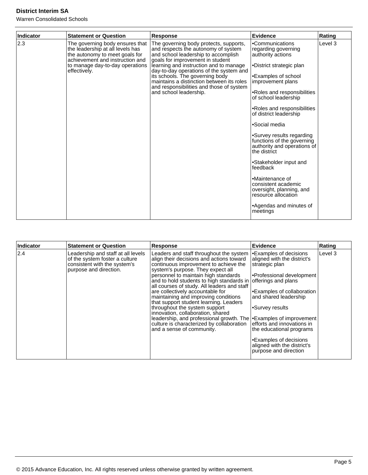| <b>Indicator</b> | <b>Statement or Question</b>                                                                                                                                                                | <b>Response</b>                                                                                                                                                                                                                                                                                                                                                                                     | <b>Evidence</b>                                                                                                                                                                                                                                                                                                                                                                                                                                                                                                                                          | Rating  |
|------------------|---------------------------------------------------------------------------------------------------------------------------------------------------------------------------------------------|-----------------------------------------------------------------------------------------------------------------------------------------------------------------------------------------------------------------------------------------------------------------------------------------------------------------------------------------------------------------------------------------------------|----------------------------------------------------------------------------------------------------------------------------------------------------------------------------------------------------------------------------------------------------------------------------------------------------------------------------------------------------------------------------------------------------------------------------------------------------------------------------------------------------------------------------------------------------------|---------|
| 2.3              | The governing body ensures that<br>the leadership at all levels has<br>the autonomy to meet goals for<br>achievement and instruction and<br>to manage day-to-day operations<br>effectively. | The governing body protects, supports,<br>and respects the autonomy of system<br>and school leadership to accomplish<br>goals for improvement in student<br>learning and instruction and to manage<br>day-to-day operations of the system and<br>its schools. The governing body<br>maintains a distinction between its roles<br>and responsibilities and those of system<br>and school leadership. | •Communications<br>regarding governing<br>authority actions<br>•District strategic plan<br>•Examples of school<br>improvement plans<br>•Roles and responsibilities<br>of school leadership<br>.Roles and responsibilities<br>of district leadership<br>•Social media<br>•Survey results regarding<br>functions of the governing<br>authority and operations of<br>the district<br>•Stakeholder input and<br>feedback<br>•Maintenance of<br>consistent academic<br>oversight, planning, and<br>resource allocation<br>•Agendas and minutes of<br>meetings | Level 3 |

| Indicator | <b>Statement or Question</b>                                                                                                   | Response                                                                                                                                                                                                                                                                                                                                                                                                                                                                                                                                                                                                                                                                   | Evidence                                                                                                                                                                                                                                                                                                                         | Rating  |
|-----------|--------------------------------------------------------------------------------------------------------------------------------|----------------------------------------------------------------------------------------------------------------------------------------------------------------------------------------------------------------------------------------------------------------------------------------------------------------------------------------------------------------------------------------------------------------------------------------------------------------------------------------------------------------------------------------------------------------------------------------------------------------------------------------------------------------------------|----------------------------------------------------------------------------------------------------------------------------------------------------------------------------------------------------------------------------------------------------------------------------------------------------------------------------------|---------|
| 2.4       | Leadership and staff at all levels<br>of the system foster a culture<br>consistent with the system's<br>purpose and direction. | Leaders and staff throughout the system<br>align their decisions and actions toward<br>continuous improvement to achieve the<br>system's purpose. They expect all<br>personnel to maintain high standards<br>and to hold students to high standards in offerings and plans<br>all courses of study. All leaders and staff<br>are collectively accountable for<br>maintaining and improving conditions<br>that support student learning. Leaders<br>throughout the system support<br>innovation, collaboration, shared<br>leadership, and professional growth. The <b>Examples</b> of improvement<br>culture is characterized by collaboration<br>and a sense of community. | <b>Examples of decisions</b><br>aligned with the district's<br>strategic plan<br>Professional development<br>Examples of collaboration<br>and shared leadership<br>l∙Survey results<br>lefforts and innovations in<br>the educational programs<br>•Examples of decisions<br>aligned with the district's<br>purpose and direction | Level 3 |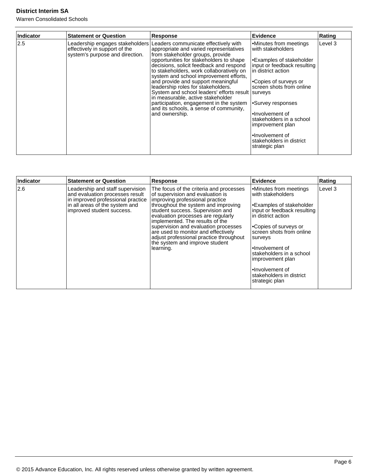| Indicator | <b>Statement or Question</b>                                     | <b>Response</b>                                                                                                                                                                                                                                                                                                                                                                                                                                                                                                                                                                                               | <b>Evidence</b>                                                                                                                                                                                                                                                                                                                            | Rating  |
|-----------|------------------------------------------------------------------|---------------------------------------------------------------------------------------------------------------------------------------------------------------------------------------------------------------------------------------------------------------------------------------------------------------------------------------------------------------------------------------------------------------------------------------------------------------------------------------------------------------------------------------------------------------------------------------------------------------|--------------------------------------------------------------------------------------------------------------------------------------------------------------------------------------------------------------------------------------------------------------------------------------------------------------------------------------------|---------|
| 2.5       | effectively in support of the<br>system's purpose and direction. | Leadership engages stakeholders   Leaders communicate effectively with<br>appropriate and varied representatives<br>from stakeholder groups, provide<br>opportunities for stakeholders to shape<br>decisions, solicit feedback and respond<br>to stakeholders, work collaboratively on<br>system and school improvement efforts,<br>and provide and support meaningful<br>leadership roles for stakeholders.<br>System and school leaders' efforts result surveys<br>in measurable, active stakeholder<br>participation, engagement in the system<br>and its schools, a sense of community,<br>and ownership. | Minutes from meetings<br>with stakeholders<br>Examples of stakeholder<br>input or feedback resulting<br>lin district action<br>l∙Copies of surveys or<br>screen shots from online<br>•Survey responses<br>.lnvolvement of<br>stakeholders in a school<br>improvement plan<br>•Involvement of<br>stakeholders in district<br>strategic plan | Level 3 |

| Indicator | <b>Statement or Question</b>                                                                                                                                            | Response                                                                                                                                                                                                                                                                                                                                                                                                                                    | <b>Evidence</b>                                                                                                                                                                                                                                                                                                                     | Rating  |
|-----------|-------------------------------------------------------------------------------------------------------------------------------------------------------------------------|---------------------------------------------------------------------------------------------------------------------------------------------------------------------------------------------------------------------------------------------------------------------------------------------------------------------------------------------------------------------------------------------------------------------------------------------|-------------------------------------------------------------------------------------------------------------------------------------------------------------------------------------------------------------------------------------------------------------------------------------------------------------------------------------|---------|
| 2.6       | Leadership and staff supervision<br>and evaluation processes result<br>in improved professional practice<br>in all areas of the system and<br>improved student success. | The focus of the criteria and processes<br>of supervision and evaluation is<br>improving professional practice<br>throughout the system and improving<br>student success. Supervision and<br>evaluation processes are regularly<br>implemented. The results of the<br>supervision and evaluation processes<br>are used to monitor and effectively<br>adjust professional practice throughout<br>the system and improve student<br>learning. | Minutes from meetings<br>with stakeholders<br>I•Examples of stakeholder<br>input or feedback resulting<br>in district action<br>l∙Copies of surveys or<br>screen shots from online<br>surveys<br>l•Involvement of<br>stakeholders in a school<br>improvement plan<br>i∙Involvement of<br>stakeholders in district<br>strategic plan | Level 3 |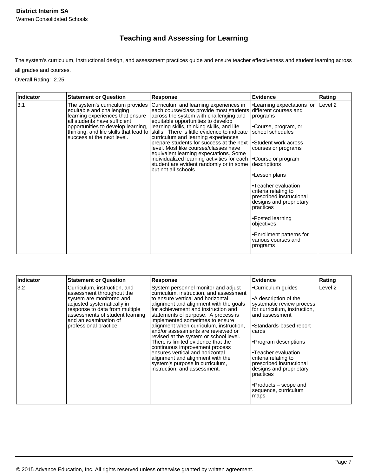# **Teaching and Assessing for Learning**

The system's curriculum, instructional design, and assessment practices guide and ensure teacher effectiveness and student learning across

all grades and courses.

Overall Rating: 2.25

| Indicator | <b>Statement or Question</b>                                                                                                                                    | <b>Response</b>                                                                                                                                                                                                                                                                                                                                                                                                                                                                                                                                                                                                                    | <b>Evidence</b>                                                                                                                                                                                                                                                                                                                                                                                                                       | Rating  |
|-----------|-----------------------------------------------------------------------------------------------------------------------------------------------------------------|------------------------------------------------------------------------------------------------------------------------------------------------------------------------------------------------------------------------------------------------------------------------------------------------------------------------------------------------------------------------------------------------------------------------------------------------------------------------------------------------------------------------------------------------------------------------------------------------------------------------------------|---------------------------------------------------------------------------------------------------------------------------------------------------------------------------------------------------------------------------------------------------------------------------------------------------------------------------------------------------------------------------------------------------------------------------------------|---------|
| 3.1       | The system's curriculum provides<br>equitable and challenging<br>learning experiences that ensure<br>all students have sufficient<br>success at the next level. | Curriculum and learning experiences in<br>each course/class provide most students<br>across the system with challenging and<br>equitable opportunities to develop<br>opportunities to develop learning,  learning skills, thinking skills, and life<br>thinking, and life skills that lead to skills. There is little evidence to indicate<br>curriculum and learning experiences<br>prepare students for success at the next<br>level. Most like courses/classes have<br>equivalent learning expectations. Some<br>individualized learning activities for each<br>student are evident randomly or in some<br>but not all schools. | ∣∙Learning expectations for<br>different courses and<br>programs<br>•Course, program, or<br>school schedules<br>Student work across <br courses or programs<br>Course or program<br>descriptions<br>•Lesson plans<br>•Teacher evaluation<br>criteria relating to<br>prescribed instructional<br>designs and proprietary<br>practices<br>•Posted learning<br>objectives<br>•Enrollment patterns for<br>various courses and<br>programs | Level 2 |

| <b>Indicator</b> | <b>Statement or Question</b>                                                                                                                                                                                                                | Response                                                                                                                                                                                                                                                                                                                                                                                                                                                                                                                                                                                                                    | <b>Evidence</b>                                                                                                                                                                                                                                                                                                                                                       | Rating  |
|------------------|---------------------------------------------------------------------------------------------------------------------------------------------------------------------------------------------------------------------------------------------|-----------------------------------------------------------------------------------------------------------------------------------------------------------------------------------------------------------------------------------------------------------------------------------------------------------------------------------------------------------------------------------------------------------------------------------------------------------------------------------------------------------------------------------------------------------------------------------------------------------------------------|-----------------------------------------------------------------------------------------------------------------------------------------------------------------------------------------------------------------------------------------------------------------------------------------------------------------------------------------------------------------------|---------|
| 3.2              | Curriculum, instruction, and<br>assessment throughout the<br>system are monitored and<br>adjusted systematically in<br>response to data from multiple<br>assessments of student learning<br>and an examination of<br>professional practice. | System personnel monitor and adjust<br>curriculum, instruction, and assessment<br>to ensure vertical and horizontal<br>alignment and alignment with the goals<br>for achievement and instruction and<br>statements of purpose. A process is<br>implemented sometimes to ensure<br>alignment when curriculum, instruction,<br>and/or assessments are reviewed or<br>revised at the system or school level.<br>There is limited evidence that the<br>continuous improvement process<br>ensures vertical and horizontal<br>alignment and alignment with the<br>system's purpose in curriculum,<br>instruction, and assessment. | •Curriculum guides<br>•A description of the<br>systematic review process<br>for curriculum, instruction,<br>and assessment<br>•Standards-based report<br>cards<br>•Program descriptions<br>•Teacher evaluation<br>criteria relating to<br>prescribed instructional<br>designs and proprietary<br>practices<br>•Products $-$ scope and<br>sequence, curriculum<br>maps | Level 2 |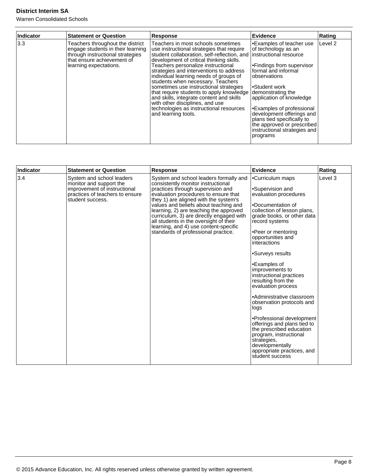| Indicator | <b>Statement or Question</b>                                                                                                                                      | Response                                                                                                                                                                                                                                                                                                                                                                                                                                                                                                                                                                                                 | Evidence                                                                                                                                                                                                                                                                                                                                                 | Rating  |
|-----------|-------------------------------------------------------------------------------------------------------------------------------------------------------------------|----------------------------------------------------------------------------------------------------------------------------------------------------------------------------------------------------------------------------------------------------------------------------------------------------------------------------------------------------------------------------------------------------------------------------------------------------------------------------------------------------------------------------------------------------------------------------------------------------------|----------------------------------------------------------------------------------------------------------------------------------------------------------------------------------------------------------------------------------------------------------------------------------------------------------------------------------------------------------|---------|
| 3.3       | Teachers throughout the district<br>engage students in their learning<br>through instructional strategies<br>that ensure achievement of<br>learning expectations. | Teachers in most schools sometimes<br>use instructional strategies that require<br>student collaboration, self-reflection, and instructional resource<br>development of critical thinking skills.<br>Teachers personalize instructional<br>strategies and interventions to address<br>individual learning needs of groups of<br>students when necessary. Teachers<br>sometimes use instructional strategies<br>that require students to apply knowledge<br>and skills, integrate content and skills<br>with other disciplines, and use<br>technologies as instructional resources<br>and learning tools. | •Examples of teacher use<br>of technology as an<br>•Findings from supervisor<br>formal and informal<br>lobservations<br>•Student work<br>demonstrating the<br>application of knowledge<br>•Examples of professional<br>development offerings and<br>plans tied specifically to<br>the approved or prescribed<br>instructional strategies and<br>programs | Level 2 |

| Indicator | <b>Statement or Question</b>                                                                                                                | <b>Response</b>                                                                                                                                                                                                                                                                                                                                                                                                                                             | <b>Evidence</b>                                                                                                                                                                                                                                                                                                                                                                                                                                                                                                                                                                                                                   | Rating  |
|-----------|---------------------------------------------------------------------------------------------------------------------------------------------|-------------------------------------------------------------------------------------------------------------------------------------------------------------------------------------------------------------------------------------------------------------------------------------------------------------------------------------------------------------------------------------------------------------------------------------------------------------|-----------------------------------------------------------------------------------------------------------------------------------------------------------------------------------------------------------------------------------------------------------------------------------------------------------------------------------------------------------------------------------------------------------------------------------------------------------------------------------------------------------------------------------------------------------------------------------------------------------------------------------|---------|
| 3.4       | System and school leaders<br>monitor and support the<br>improvement of instructional<br>practices of teachers to ensure<br>student success. | System and school leaders formally and<br>consistently monitor instructional<br>practices through supervision and<br>evaluation procedures to ensure that<br>they 1) are aligned with the system's<br>values and beliefs about teaching and<br>learning, 2) are teaching the approved<br>curriculum, 3) are directly engaged with<br>all students in the oversight of their<br>learning, and 4) use content-specific<br>standards of professional practice. | •Curriculum maps<br>•Supervision and<br>evaluation procedures<br>.Documentation of<br>collection of lesson plans,<br>grade books, or other data<br>record systems<br>•Peer or mentoring<br>opportunities and<br>interactions<br>•Surveys results<br>•Examples of<br>improvements to<br>instructional practices<br>resulting from the<br>evaluation process<br>•Administrative classroom<br>observation protocols and<br>logs<br>•Professional development<br>offerings and plans tied to<br>the prescribed education<br>program, instructional<br>strategies,<br>developmentally<br>appropriate practices, and<br>student success | Level 3 |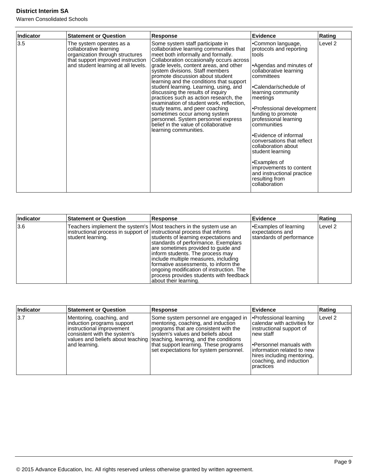| <b>Indicator</b> | <b>Statement or Question</b>                                                                                                                                      | Response                                                                                                                                                                                                                                                                                                                                                                                                                                                                                                                                                                                                                                                                  | <b>Evidence</b>                                                                                                                                                                                                                                                                                                                                                                                                                                                                                      | Rating  |
|------------------|-------------------------------------------------------------------------------------------------------------------------------------------------------------------|---------------------------------------------------------------------------------------------------------------------------------------------------------------------------------------------------------------------------------------------------------------------------------------------------------------------------------------------------------------------------------------------------------------------------------------------------------------------------------------------------------------------------------------------------------------------------------------------------------------------------------------------------------------------------|------------------------------------------------------------------------------------------------------------------------------------------------------------------------------------------------------------------------------------------------------------------------------------------------------------------------------------------------------------------------------------------------------------------------------------------------------------------------------------------------------|---------|
| 3.5              | The system operates as a<br>collaborative learning<br>organization through structures<br>that support improved instruction<br>and student learning at all levels. | Some system staff participate in<br>collaborative learning communities that<br>meet both informally and formally.<br>Collaboration occasionally occurs across<br>grade levels, content areas, and other<br>system divisions. Staff members<br>promote discussion about student<br>learning and the conditions that support<br>student learning. Learning, using, and<br>discussing the results of inquiry<br>practices such as action research, the<br>examination of student work, reflection,<br>study teams, and peer coaching<br>sometimes occur among system<br>personnel. System personnel express<br>belief in the value of collaborative<br>learning communities. | •Common language,<br>protocols and reporting<br>Itools<br>l•Agendas and minutes of<br>collaborative learning<br>Icommittees<br>l•Calendar/schedule of<br>learning community<br> meetings <br>Professional development<br>funding to promote<br>professional learning<br>l communities<br>l∙Evidence of informal<br>conversations that reflect<br>collaboration about<br>student learning<br>•Examples of<br>improvements to content<br>and instructional practice<br>resulting from<br>collaboration | Level 2 |

| Indicator | <b>Statement or Question</b>                                                                 | Response                                                                                                                                                                                                                                                                                                                                                                                                                        | Evidence                                                             | Rating  |
|-----------|----------------------------------------------------------------------------------------------|---------------------------------------------------------------------------------------------------------------------------------------------------------------------------------------------------------------------------------------------------------------------------------------------------------------------------------------------------------------------------------------------------------------------------------|----------------------------------------------------------------------|---------|
| 3.6       | instructional process in support of linstructional process that informs<br>student learning. | Teachers implement the system's   Most teachers in the system use an<br>students of learning expectations and<br>standards of performance. Exemplars<br>are sometimes provided to guide and<br>inform students. The process may<br>include multiple measures, including<br>formative assessments, to inform the<br>ongoing modification of instruction. The<br>process provides students with feedback<br>about their learning. | Examples of learning<br>expectations and<br>standards of performance | Level 2 |

| Indicator | <b>Statement or Question</b>                                                                                                         | <b>Response</b>                                                                                                                                                                                                                                                                                                           | Evidence                                                                                                                                                                                                                               | Rating             |
|-----------|--------------------------------------------------------------------------------------------------------------------------------------|---------------------------------------------------------------------------------------------------------------------------------------------------------------------------------------------------------------------------------------------------------------------------------------------------------------------------|----------------------------------------------------------------------------------------------------------------------------------------------------------------------------------------------------------------------------------------|--------------------|
| 3.7       | Mentoring, coaching, and<br>induction programs support<br>instructional improvement<br>consistent with the system's<br>and learning. | Some system personnel are engaged in<br>mentoring, coaching, and induction<br>programs that are consistent with the<br>system's values and beliefs about<br>values and beliefs about teaching   teaching, learning, and the conditions<br>that support learning. These programs<br>set expectations for system personnel. | Professional learning<br>calendar with activities for<br>instructional support of<br>Inew staff<br><b>Personnel manuals with</b><br>linformation related to new<br>hires including mentoring,<br>coaching, and induction<br>Ipractices | Level <sub>2</sub> |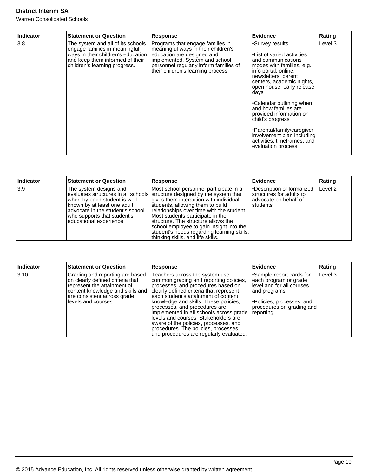| Indicator | <b>Statement or Question</b>                                                                                                                                                 | Response                                                                                                                                                                                                                | Evidence                                                                                                                                                                                                                                                                                                                                                                                                                                | Rating  |
|-----------|------------------------------------------------------------------------------------------------------------------------------------------------------------------------------|-------------------------------------------------------------------------------------------------------------------------------------------------------------------------------------------------------------------------|-----------------------------------------------------------------------------------------------------------------------------------------------------------------------------------------------------------------------------------------------------------------------------------------------------------------------------------------------------------------------------------------------------------------------------------------|---------|
| 3.8       | The system and all of its schools<br>engage families in meaningful<br>ways in their children's education<br>and keep them informed of their<br>children's learning progress. | Programs that engage families in<br>meaningful ways in their children's<br>education are designed and<br>implemented. System and school<br>personnel regularly inform families of<br>their children's learning process. | •Survey results<br>• List of varied activities<br>and communications<br>modes with families, e.g.,<br>info portal, online,<br>newsletters, parent<br>centers, academic nights,<br>open house, early release<br>days<br>•Calendar outlining when<br>and how families are<br>provided information on<br>child's progress<br>•Parental/family/caregiver<br>involvement plan including<br>activities, timeframes, and<br>evaluation process | Level 3 |

| Indicator | <b>Statement or Question</b>                                                                                                                                                         | Response                                                                                                                                                                                                                                                                                                                                                                                                                                                  | <b>Evidence</b>                                                                              | Rating             |
|-----------|--------------------------------------------------------------------------------------------------------------------------------------------------------------------------------------|-----------------------------------------------------------------------------------------------------------------------------------------------------------------------------------------------------------------------------------------------------------------------------------------------------------------------------------------------------------------------------------------------------------------------------------------------------------|----------------------------------------------------------------------------------------------|--------------------|
| 3.9       | The system designs and<br>whereby each student is well<br>known by at least one adult<br>ladvocate in the student's school<br>who supports that student's<br>educational experience. | Most school personnel participate in a<br>evaluates structures in all schools structure designed by the system that<br>gives them interaction with individual<br>students, allowing them to build<br>relationships over time with the student.<br>Most students participate in the<br>Istructure. The structure allows the<br>school employee to gain insight into the<br>student's needs regarding learning skills,<br>thinking skills, and life skills. | Description of formalized<br>structures for adults to<br>ladvocate on behalf of<br>Istudents | Level <sub>2</sub> |

| Indicator      | <b>Statement or Question</b>                                                                                                                                                                  | <b>Response</b>                                                                                                                                                                                                                                                                                                                                                                                                                                                                            | Evidence                                                                                                                                                             | Rating  |
|----------------|-----------------------------------------------------------------------------------------------------------------------------------------------------------------------------------------------|--------------------------------------------------------------------------------------------------------------------------------------------------------------------------------------------------------------------------------------------------------------------------------------------------------------------------------------------------------------------------------------------------------------------------------------------------------------------------------------------|----------------------------------------------------------------------------------------------------------------------------------------------------------------------|---------|
| $ 3.10\rangle$ | Grading and reporting are based<br>on clearly defined criteria that<br>represent the attainment of<br>content knowledge and skills and<br>are consistent across grade<br>llevels and courses. | Teachers across the system use<br>common grading and reporting policies,<br>processes, and procedures based on<br>clearly defined criteria that represent<br>each student's attainment of content<br>knowledge and skills. These policies,<br>processes, and procedures are<br>implemented in all schools across grade<br>levels and courses. Stakeholders are<br>aware of the policies, processes, and<br>procedures. The policies, processes,<br>and procedures are regularly evaluated. | •Sample report cards for<br>each program or grade<br>level and for all courses<br>and programs<br>Policies, processes, and<br>procedures on grading and<br>reporting | Level 3 |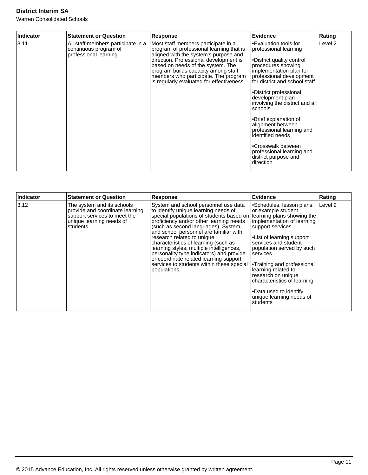| Indicator | <b>Statement or Question</b>                                                          | <b>Response</b>                                                                                                                                                                                                                                                                                                                     | <b>Evidence</b>                                                                                                                                                                                                                                                                                                                                                                                                                                                             | Rating  |
|-----------|---------------------------------------------------------------------------------------|-------------------------------------------------------------------------------------------------------------------------------------------------------------------------------------------------------------------------------------------------------------------------------------------------------------------------------------|-----------------------------------------------------------------------------------------------------------------------------------------------------------------------------------------------------------------------------------------------------------------------------------------------------------------------------------------------------------------------------------------------------------------------------------------------------------------------------|---------|
| 3.11      | All staff members participate in a<br>continuous program of<br>professional learning. | Most staff members participate in a<br>program of professional learning that is<br>aligned with the system's purpose and<br>direction. Professional development is<br>based on needs of the system. The<br>program builds capacity among staff<br>members who participate. The program<br>is regularly evaluated for effectiveness. | •Evaluation tools for<br>professional learning<br>•District quality control<br>procedures showing<br>implementation plan for<br>professional development<br>for district and school staff<br>•District professional<br>development plan<br>involving the district and all<br>schools<br>•Brief explanation of<br>alignment between<br>professional learning and<br>identified needs<br>•Crosswalk between<br>professional learning and<br>district purpose and<br>direction | Level 2 |

| Indicator | <b>Statement or Question</b>                                                                                                           | <b>Response</b>                                                                                                                                                                                                                                                                                                                                                                                                                                                                                                          | <b>Evidence</b>                                                                                                                                                                                                                                                                                                                                                                                           | Rating  |
|-----------|----------------------------------------------------------------------------------------------------------------------------------------|--------------------------------------------------------------------------------------------------------------------------------------------------------------------------------------------------------------------------------------------------------------------------------------------------------------------------------------------------------------------------------------------------------------------------------------------------------------------------------------------------------------------------|-----------------------------------------------------------------------------------------------------------------------------------------------------------------------------------------------------------------------------------------------------------------------------------------------------------------------------------------------------------------------------------------------------------|---------|
| 3.12      | The system and its schools<br>provide and coordinate learning<br>support services to meet the<br>unique learning needs of<br>students. | System and school personnel use data<br>to identify unique learning needs of<br>special populations of students based on<br>proficiency and/or other learning needs<br>(such as second languages). System<br>and school personnel are familiar with<br>research related to unique<br>characteristics of learning (such as<br>learning styles, multiple intelligences,<br>personality type indicators) and provide<br>or coordinate related learning support<br>services to students within these special<br>populations. | •Schedules, lesson plans,<br>or example student<br>learning plans showing the<br>implementation of learning<br>support services<br>.List of learning support<br>services and student<br>population served by such<br>services<br>•Training and professional<br>learning related to<br>research on unique<br>characteristics of learning<br>•Data used to identify<br>unique learning needs of<br>students | Level 2 |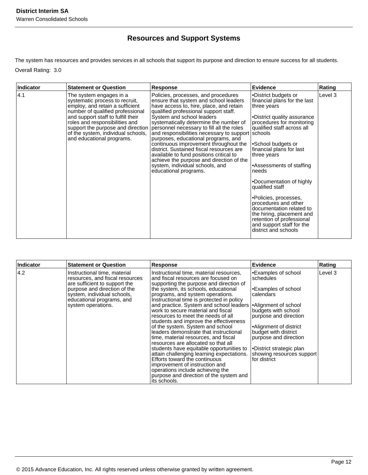# **Resources and Support Systems**

The system has resources and provides services in all schools that support its purpose and direction to ensure success for all students. Overall Rating: 3.0

| <b>Indicator</b> | <b>Statement or Question</b>                                                                                                                                                                                                                                                                                     | <b>Response</b>                                                                                                                                                                                                                                                                                                                                                                                                                                                                                                                                                                                                          | Evidence                                                                                                                                                                                                                                                                                                                                                                                                                                                                                                       | Rating  |
|------------------|------------------------------------------------------------------------------------------------------------------------------------------------------------------------------------------------------------------------------------------------------------------------------------------------------------------|--------------------------------------------------------------------------------------------------------------------------------------------------------------------------------------------------------------------------------------------------------------------------------------------------------------------------------------------------------------------------------------------------------------------------------------------------------------------------------------------------------------------------------------------------------------------------------------------------------------------------|----------------------------------------------------------------------------------------------------------------------------------------------------------------------------------------------------------------------------------------------------------------------------------------------------------------------------------------------------------------------------------------------------------------------------------------------------------------------------------------------------------------|---------|
| 4.1              | The system engages in a<br>systematic process to recruit,<br>employ, and retain a sufficient<br>number of qualified professional<br>and support staff to fulfill their<br>roles and responsibilities and<br>support the purpose and direction<br>of the system, individual schools,<br>and educational programs. | Policies, processes, and procedures<br>ensure that system and school leaders<br>have access to, hire, place, and retain<br>qualified professional support staff.<br>System and school leaders<br>systematically determine the number of<br>personnel necessary to fill all the roles<br>and responsibilities necessary to support schools<br>purposes, educational programs, and<br>continuous improvement throughout the<br>district. Sustained fiscal resources are<br>available to fund positions critical to<br>achieve the purpose and direction of the<br>system, individual schools, and<br>educational programs. | •District budgets or<br>financial plans for the last<br>three years<br>•District quality assurance<br>procedures for monitoring<br>qualified staff across all<br>•School budgets or<br>financial plans for last<br>three years<br>•Assessments of staffing<br>needs<br>•Documentation of highly<br>qualified staff<br>•Policies, processes,<br>procedures and other<br>documentation related to<br>the hiring, placement and<br>retention of professional<br>and support staff for the<br>district and schools | Level 3 |

| Indicator | <b>Statement or Question</b>                                                                                                                                                                                       | Response                                                                                                                                                                                                                                                                                                                                                                                                                                                                                                                                                                                                                                                                                                                                                                                                                                                          | Evidence                                                                                                                                                                                                                                                                | Rating  |
|-----------|--------------------------------------------------------------------------------------------------------------------------------------------------------------------------------------------------------------------|-------------------------------------------------------------------------------------------------------------------------------------------------------------------------------------------------------------------------------------------------------------------------------------------------------------------------------------------------------------------------------------------------------------------------------------------------------------------------------------------------------------------------------------------------------------------------------------------------------------------------------------------------------------------------------------------------------------------------------------------------------------------------------------------------------------------------------------------------------------------|-------------------------------------------------------------------------------------------------------------------------------------------------------------------------------------------------------------------------------------------------------------------------|---------|
| 14.2      | Instructional time, material<br>resources, and fiscal resources<br>are sufficient to support the<br>purpose and direction of the<br>system, individual schools,<br>educational programs, and<br>system operations. | Instructional time, material resources,<br>and fiscal resources are focused on<br>supporting the purpose and direction of<br>the system, its schools, educational<br>programs, and system operations.<br>Instructional time is protected in policy<br>and practice. System and school leaders   Alignment of school<br>work to secure material and fiscal<br>resources to meet the needs of all<br>students and improve the effectiveness<br>of the system. System and school<br>leaders demonstrate that instructional<br>time, material resources, and fiscal<br>resources are allocated so that all<br>students have equitable opportunities to<br>attain challenging learning expectations.<br>Efforts toward the continuous<br>improvement of instruction and<br>operations include achieving the<br>purpose and direction of the system and<br>its schools. | Examples of school<br>schedules<br>Examples of school<br>calendars<br>budgets with school<br>purpose and direction<br>Alignment of district <br>budget with district<br>purpose and direction<br> •District strategic plan<br>showing resources support<br>for district | Level 3 |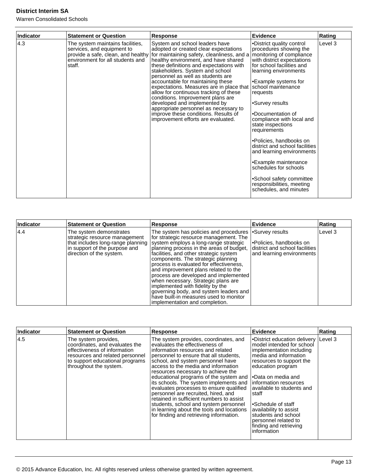| <b>Indicator</b> | <b>Statement or Question</b>                                                                                                                       | <b>Response</b>                                                                                                                                                                                                                                                                                                                                                                                                                                                                                                                                                                                         | <b>Evidence</b>                                                                                                                                                                                                                                                                                                                                                                                                                                                                                                                                                              | Rating  |
|------------------|----------------------------------------------------------------------------------------------------------------------------------------------------|---------------------------------------------------------------------------------------------------------------------------------------------------------------------------------------------------------------------------------------------------------------------------------------------------------------------------------------------------------------------------------------------------------------------------------------------------------------------------------------------------------------------------------------------------------------------------------------------------------|------------------------------------------------------------------------------------------------------------------------------------------------------------------------------------------------------------------------------------------------------------------------------------------------------------------------------------------------------------------------------------------------------------------------------------------------------------------------------------------------------------------------------------------------------------------------------|---------|
| 4.3              | The system maintains facilities,<br>services, and equipment to<br>provide a safe, clean, and healthy<br>environment for all students and<br>staff. | System and school leaders have<br>adopted or created clear expectations<br>for maintaining safety, cleanliness, and a<br>healthy environment, and have shared<br>these definitions and expectations with<br>stakeholders. System and school<br>personnel as well as students are<br>accountable for maintaining these<br>expectations. Measures are in place that<br>allow for continuous tracking of these<br>conditions. Improvement plans are<br>developed and implemented by<br>appropriate personnel as necessary to<br>improve these conditions. Results of<br>improvement efforts are evaluated. | •District quality control<br>procedures showing the<br>monitoring of compliance<br>with district expectations<br>for school facilities and<br>learning environments<br><b>Example systems for</b><br>Ischool maintenance<br>requests<br>•Survey results<br>•Documentation of<br>compliance with local and<br>state inspections<br>requirements<br>•Policies, handbooks on<br>district and school facilities<br>and learning environments<br>•Example maintenance<br>schedules for schools<br>•School safety committee<br>responsibilities, meeting<br>schedules, and minutes | Level 3 |

| Indicator | <b>Statement or Question</b>                                                                                                                               | <b>Response</b>                                                                                                                                                                                                                                                                                                                                                                                                                                                                                                                                                                                     | Evidence                                                                                | Rating  |
|-----------|------------------------------------------------------------------------------------------------------------------------------------------------------------|-----------------------------------------------------------------------------------------------------------------------------------------------------------------------------------------------------------------------------------------------------------------------------------------------------------------------------------------------------------------------------------------------------------------------------------------------------------------------------------------------------------------------------------------------------------------------------------------------------|-----------------------------------------------------------------------------------------|---------|
| 4.4       | The system demonstrates<br>strategic resource management<br>that includes long-range planning<br>in support of the purpose and<br>direction of the system. | The system has policies and procedures • Survey results<br>for strategic resource management. The<br>system employs a long-range strategic<br>planning process in the areas of budget,<br>facilities, and other strategic system<br>components. The strategic planning<br>process is evaluated for effectiveness,<br>and improvement plans related to the<br>process are developed and implemented<br>when necessary. Strategic plans are<br>implemented with fidelity by the<br>governing body, and system leaders and<br>have built-in measures used to monitor<br>implementation and completion. | l•Policies, handbooks on<br>district and school facilities<br>and learning environments | Level 3 |

| Indicator | <b>Statement or Question</b>                                                                                                                                                           | Response                                                                                                                                                                                                                                                                                                                                                                                                                                                                                                                                                                                                                    | Evidence                                                                                                                                                                                                                                                                                                                                                                                          | Rating    |
|-----------|----------------------------------------------------------------------------------------------------------------------------------------------------------------------------------------|-----------------------------------------------------------------------------------------------------------------------------------------------------------------------------------------------------------------------------------------------------------------------------------------------------------------------------------------------------------------------------------------------------------------------------------------------------------------------------------------------------------------------------------------------------------------------------------------------------------------------------|---------------------------------------------------------------------------------------------------------------------------------------------------------------------------------------------------------------------------------------------------------------------------------------------------------------------------------------------------------------------------------------------------|-----------|
| 14.5      | The system provides,<br>coordinates, and evaluates the<br>effectiveness of information<br>resources and related personnel<br>to support educational programs<br>throughout the system. | The system provides, coordinates, and<br>evaluates the effectiveness of<br>information resources and related<br>personnel to ensure that all students,<br>school, and system personnel have<br>access to the media and information<br>resources necessary to achieve the<br>educational programs of the system and<br>its schools. The system implements and<br>evaluates processes to ensure qualified<br>personnel are recruited, hired, and<br>retained in sufficient numbers to assist<br>students, school and system personnel<br>in learning about the tools and locations<br>for finding and retrieving information. | •District education delivery  <br>model intended for school<br>implementation including<br>media and information<br>resources to support the<br>education program<br>l∙Data on media and<br>Information resources<br>available to students and<br>∣staff<br>l•Schedule of staff<br>availability to assist<br>students and school<br>bersonnel related to<br>finding and retrieving<br>information | l Level 3 |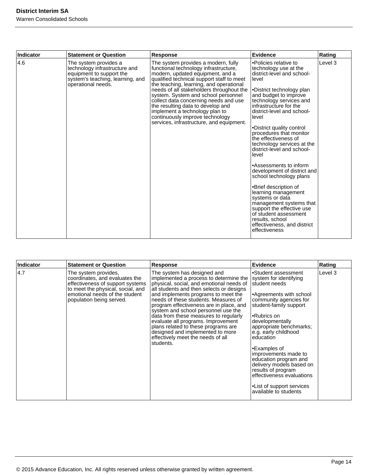| Indicator | <b>Statement or Question</b>                                                                                                                 | <b>Response</b>                                                                                                                                                                                                                                                                                                                                                                                                                                                                            | Evidence                                                                                                                                                                                                                                                                                                                                                                                                                                                                                                                                                                                                                                                                                                | Rating  |
|-----------|----------------------------------------------------------------------------------------------------------------------------------------------|--------------------------------------------------------------------------------------------------------------------------------------------------------------------------------------------------------------------------------------------------------------------------------------------------------------------------------------------------------------------------------------------------------------------------------------------------------------------------------------------|---------------------------------------------------------------------------------------------------------------------------------------------------------------------------------------------------------------------------------------------------------------------------------------------------------------------------------------------------------------------------------------------------------------------------------------------------------------------------------------------------------------------------------------------------------------------------------------------------------------------------------------------------------------------------------------------------------|---------|
| 4.6       | The system provides a<br>technology infrastructure and<br>equipment to support the<br>system's teaching, learning, and<br>operational needs. | The system provides a modern, fully<br>functional technology infrastructure,<br>modern, updated equipment, and a<br>qualified technical support staff to meet<br>the teaching, learning, and operational<br>needs of all stakeholders throughout the<br>system. System and school personnel<br>collect data concerning needs and use<br>the resulting data to develop and<br>implement a technology plan to<br>continuously improve technology<br>services, infrastructure, and equipment. | •Policies relative to<br>technology use at the<br>district-level and school-<br>level<br>•District technology plan<br>and budget to improve<br>technology services and<br>infrastructure for the<br>district-level and school-<br>level<br>•District quality control<br>procedures that monitor<br>the effectiveness of<br>technology services at the<br>district-level and school-<br>level<br>•Assessments to inform<br>development of district and<br>school technology plans<br>•Brief description of<br>learning management<br>systems or data<br>management systems that<br>support the effective use<br>of student assessment<br>results, school<br>effectiveness, and district<br>effectiveness | Level 3 |

| <b>Indicator</b> | <b>Statement or Question</b>                                                                                                                                                                  | <b>Response</b>                                                                                                                                                                                                                                                                                                                                                                                                                                                                                                                            | Evidence                                                                                                                                                                                                                                                                                                                                                                                                                                              | Rating  |
|------------------|-----------------------------------------------------------------------------------------------------------------------------------------------------------------------------------------------|--------------------------------------------------------------------------------------------------------------------------------------------------------------------------------------------------------------------------------------------------------------------------------------------------------------------------------------------------------------------------------------------------------------------------------------------------------------------------------------------------------------------------------------------|-------------------------------------------------------------------------------------------------------------------------------------------------------------------------------------------------------------------------------------------------------------------------------------------------------------------------------------------------------------------------------------------------------------------------------------------------------|---------|
| 4.7              | The system provides,<br>coordinates, and evaluates the<br>effectiveness of support systems<br>to meet the physical, social, and<br>emotional needs of the student<br>population being served. | The system has designed and<br>implemented a process to determine the<br>physical, social, and emotional needs of<br>all students and then selects or designs<br>and implements programs to meet the<br>needs of these students. Measures of<br>program effectiveness are in place, and<br>system and school personnel use the<br>data from these measures to regularly<br>evaluate all programs. Improvement<br>plans related to these programs are<br>designed and implemented to more<br>effectively meet the needs of all<br>students. | •Student assessment<br>system for identifying<br>student needs<br>Agreements with school<br>community agencies for<br>student-family support<br>•Rubrics on<br>developmentally<br>appropriate benchmarks;<br>e.g. early childhood<br>education<br>•Examples of<br>improvements made to<br>education program and<br>delivery models based on<br>results of program<br>effectiveness evaluations<br>• List of support services<br>available to students | Level 3 |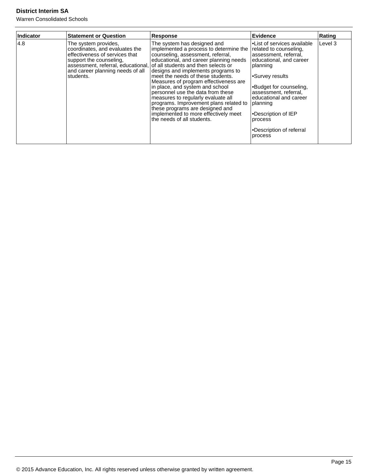| Indicator | <b>Statement or Question</b>                                                                                                                                         | <b>Response</b>                                                                                                                                                                                                                                                                                                                                                                                                                                                                                                                                                                                                     | Evidence                                                                                                                                                                                                                                                                                                        | Rating  |
|-----------|----------------------------------------------------------------------------------------------------------------------------------------------------------------------|---------------------------------------------------------------------------------------------------------------------------------------------------------------------------------------------------------------------------------------------------------------------------------------------------------------------------------------------------------------------------------------------------------------------------------------------------------------------------------------------------------------------------------------------------------------------------------------------------------------------|-----------------------------------------------------------------------------------------------------------------------------------------------------------------------------------------------------------------------------------------------------------------------------------------------------------------|---------|
| 4.8       | The system provides,<br>coordinates, and evaluates the<br>effectiveness of services that<br>support the counseling,<br>and career planning needs of all<br>students. | The system has designed and<br>implemented a process to determine the<br>counseling, assessment, referral,<br>educational, and career planning needs<br>assessment, referral, educational, of all students and then selects or<br>designs and implements programs to<br>meet the needs of these students.<br>Measures of program effectiveness are<br>in place, and system and school<br>personnel use the data from these<br>measures to regularly evaluate all<br>programs. Improvement plans related to<br>these programs are designed and<br>implemented to more effectively meet<br>the needs of all students. | l•List of services available<br>related to counseling.<br>assessment, referral,<br>educational, and career<br> planning<br>Survey results<br> •Budget for counseling,<br>lassessment. referral.<br>educational and career<br> planning<br>•Description of IEP<br>process<br>•Description of referral<br>process | Level 3 |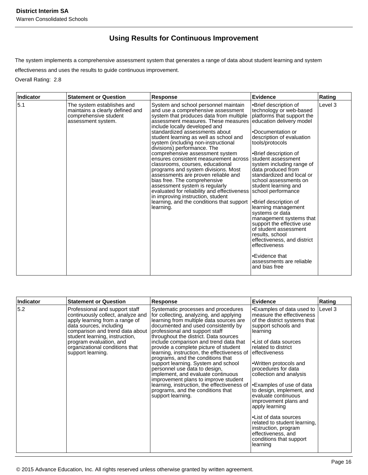## **Using Results for Continuous Improvement**

The system implements a comprehensive assessment system that generates a range of data about student learning and system effectiveness and uses the results to guide continuous improvement.

Overall Rating: 2.8

| Indicator | <b>Statement or Question</b>                                                                                 | <b>Response</b>                                                                                                                                                                                                                                                                                                                                                                                                                                                                                                                                                                                                                                                                                                                                                                  | Evidence                                                                                                                                                                                                                                                                                                                                                                                                                                                                                                                                                                                                                                              | Rating  |
|-----------|--------------------------------------------------------------------------------------------------------------|----------------------------------------------------------------------------------------------------------------------------------------------------------------------------------------------------------------------------------------------------------------------------------------------------------------------------------------------------------------------------------------------------------------------------------------------------------------------------------------------------------------------------------------------------------------------------------------------------------------------------------------------------------------------------------------------------------------------------------------------------------------------------------|-------------------------------------------------------------------------------------------------------------------------------------------------------------------------------------------------------------------------------------------------------------------------------------------------------------------------------------------------------------------------------------------------------------------------------------------------------------------------------------------------------------------------------------------------------------------------------------------------------------------------------------------------------|---------|
| 5.1       | The system establishes and<br>maintains a clearly defined and<br>comprehensive student<br>assessment system. | System and school personnel maintain<br>and use a comprehensive assessment<br>system that produces data from multiple<br>assessment measures. These measures<br>include locally developed and<br>standardized assessments about<br>student learning as well as school and<br>system (including non-instructional<br>divisions) performance. The<br>comprehensive assessment system<br>ensures consistent measurement across<br>classrooms, courses, educational<br>programs and system divisions. Most<br>assessments are proven reliable and<br>bias free. The comprehensive<br>assessment system is regularly<br>evaluated for reliability and effectiveness school performance<br>in improving instruction, student<br>learning, and the conditions that support<br>learning. | •Brief description of<br>technology or web-based<br>platforms that support the<br>education delivery model<br>.Documentation or<br>description of evaluation<br>tools/protocols<br>•Brief description of<br>student assessment<br>system including range of<br>data produced from<br>standardized and local or<br>school assessments on<br>student learning and<br>•Brief description of<br>learning management<br>systems or data<br>management systems that<br>support the effective use<br>of student assessment<br>results, school<br>effectiveness, and district<br>effectiveness<br>•Evidence that<br>assessments are reliable<br>and bias free | Level 3 |

| Indicator | <b>Statement or Question</b>                                                                                                                                                                                                                                                            | <b>Response</b>                                                                                                                                                                                                                                                                                                                                                                                                                                                                                                                                                                                                                                                                   | Evidence                                                                                                                                                                                                                                                                                                                                                                                                                                                                                                                                         | Rating  |
|-----------|-----------------------------------------------------------------------------------------------------------------------------------------------------------------------------------------------------------------------------------------------------------------------------------------|-----------------------------------------------------------------------------------------------------------------------------------------------------------------------------------------------------------------------------------------------------------------------------------------------------------------------------------------------------------------------------------------------------------------------------------------------------------------------------------------------------------------------------------------------------------------------------------------------------------------------------------------------------------------------------------|--------------------------------------------------------------------------------------------------------------------------------------------------------------------------------------------------------------------------------------------------------------------------------------------------------------------------------------------------------------------------------------------------------------------------------------------------------------------------------------------------------------------------------------------------|---------|
| 5.2       | Professional and support staff<br>continuously collect, analyze and<br>apply learning from a range of<br>data sources, including<br>comparison and trend data about<br>student learning, instruction,<br>program evaluation, and<br>organizational conditions that<br>support learning. | Systematic processes and procedures<br>for collecting, analyzing, and applying<br>learning from multiple data sources are<br>documented and used consistently by<br>professional and support staff<br>throughout the district. Data sources<br>include comparison and trend data that<br>provide a complete picture of student<br>learning, instruction, the effectiveness of<br>programs, and the conditions that<br>support learning. System and school<br>personnel use data to design,<br>implement, and evaluate continuous<br>improvement plans to improve student<br>learning, instruction, the effectiveness of<br>programs, and the conditions that<br>support learning. | •Examples of data used to<br>measure the effectiveness<br>of the district systems that<br>support schools and<br>learning<br>l•List of data sources<br>related to district<br>leffectiveness<br>•Written protocols and<br>procedures for data<br>collection and analysis<br>Examples of use of data<br>to design, implement, and<br>evaluate continuous<br>improvement plans and<br>apply learning<br>•List of data sources<br>related to student learning,<br>instruction, program<br>effectiveness, and<br>conditions that support<br>learning | Level 3 |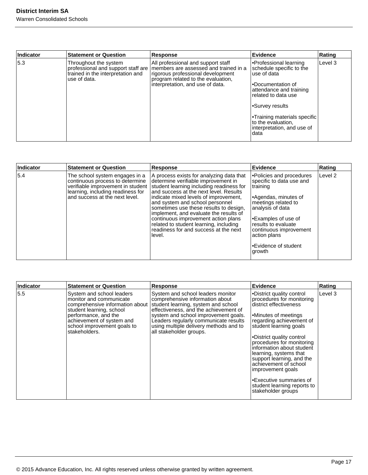| Indicator | <b>Statement or Question</b>                                               | <b>Response</b>                                                                                                                                                                                                                 | <b>Evidence</b>                                                                                                                                                                                                                                            | Rating  |
|-----------|----------------------------------------------------------------------------|---------------------------------------------------------------------------------------------------------------------------------------------------------------------------------------------------------------------------------|------------------------------------------------------------------------------------------------------------------------------------------------------------------------------------------------------------------------------------------------------------|---------|
| 5.3       | Throughout the system<br>trained in the interpretation and<br>use of data. | All professional and support staff<br>professional and support staff are   members are assessed and trained in a<br>rigorous professional development<br>program related to the evaluation,<br>interpretation, and use of data. | ∙Professional learning<br>schedule specific to the<br>use of data<br>l∙Documentation of<br>attendance and training<br>related to data use<br>l∙Survey results<br>l•Training materials specific<br>to the evaluation,<br>interpretation, and use of<br>data | Level 3 |

| Indicator | <b>Statement or Question</b>                                                                                                                                                  | <b>Response</b>                                                                                                                                                                                                                                                                                                                                                                                                                                                           | Evidence                                                                                                                                                                                                                                                        | Rating             |
|-----------|-------------------------------------------------------------------------------------------------------------------------------------------------------------------------------|---------------------------------------------------------------------------------------------------------------------------------------------------------------------------------------------------------------------------------------------------------------------------------------------------------------------------------------------------------------------------------------------------------------------------------------------------------------------------|-----------------------------------------------------------------------------------------------------------------------------------------------------------------------------------------------------------------------------------------------------------------|--------------------|
| 5.4       | The school system engages in a<br>continuous process to determine<br>verifiable improvement in student<br>learning, including readiness for<br>and success at the next level. | A process exists for analyzing data that<br>determine verifiable improvement in<br>student learning including readiness for<br>and success at the next level. Results<br>indicate mixed levels of improvement,<br>and system and school personnel<br>sometimes use these results to design,<br>implement, and evaluate the results of<br>continuous improvement action plans<br>related to student learning, including<br>readiness for and success at the next<br>level. | •Policies and procedures<br>specific to data use and<br>training<br>l•Agendas, minutes of<br>meetings related to<br>analysis of data<br>l•Examples of use of<br>results to evaluate<br>continuous improvement<br>action plans<br>•Evidence of student<br>growth | Level <sub>2</sub> |

| Indicator | <b>Statement or Question</b>                                                                                                                                                                                             | <b>Response</b>                                                                                                                                                                                                                                                                                            | <b>Evidence</b>                                                                                                                                                                                                                                                                                                                                                                                                                           | Rating  |
|-----------|--------------------------------------------------------------------------------------------------------------------------------------------------------------------------------------------------------------------------|------------------------------------------------------------------------------------------------------------------------------------------------------------------------------------------------------------------------------------------------------------------------------------------------------------|-------------------------------------------------------------------------------------------------------------------------------------------------------------------------------------------------------------------------------------------------------------------------------------------------------------------------------------------------------------------------------------------------------------------------------------------|---------|
| 5.5       | System and school leaders<br>monitor and communicate<br>comprehensive information about<br>student learning, school<br>performance, and the<br>achievement of system and<br>school improvement goals to<br>stakeholders. | System and school leaders monitor<br>comprehensive information about<br>student learning, system and school<br>effectiveness, and the achievement of<br>system and school improvement goals.<br>Leaders regularly communicate results<br>using multiple delivery methods and to<br>all stakeholder groups. | •District quality control<br>procedures for monitoring<br>district effectiveness<br>Minutes of meetings<br>regarding achievement of<br>student learning goals<br>•District quality control<br>procedures for monitoring<br>information about student<br>learning, systems that<br>support learning, and the<br>achievement of school<br>improvement goals<br>•Executive summaries of<br>student learning reports to<br>stakeholder groups | Level 3 |